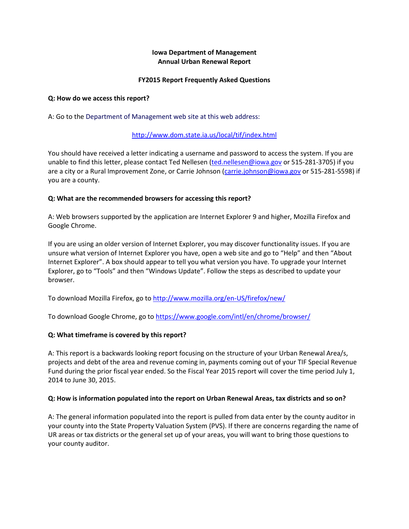### **Iowa Department of Management Annual Urban Renewal Report**

### **FY2015 Report Frequently Asked Questions**

#### **Q: How do we access this report?**

A: Go to the Department of Management web site at this web address:

### <http://www.dom.state.ia.us/local/tif/index.html>

You should have received a letter indicating a username and password to access the system. If you are unable to find this letter, please contact Ted Nellesen [\(ted.nellesen@iowa.gov](mailto:ted.nellesen@iowa.gov) or 515-281-3705) if you are a city or a Rural Improvement Zone, or Carrie Johnson [\(carrie.johnson@iowa.gov](mailto:carrie.johnson@iowa.gov) or 515-281-5598) if you are a county.

### **Q: What are the recommended browsers for accessing this report?**

A: Web browsers supported by the application are Internet Explorer 9 and higher, Mozilla Firefox and Google Chrome.

If you are using an older version of Internet Explorer, you may discover functionality issues. If you are unsure what version of Internet Explorer you have, open a web site and go to "Help" and then "About Internet Explorer". A box should appear to tell you what version you have. To upgrade your Internet Explorer, go to "Tools" and then "Windows Update". Follow the steps as described to update your browser.

To download Mozilla Firefox, go to <http://www.mozilla.org/en-US/firefox/new/>

To download Google Chrome, go to <https://www.google.com/intl/en/chrome/browser/>

### **Q: What timeframe is covered by this report?**

A: This report is a backwards looking report focusing on the structure of your Urban Renewal Area/s, projects and debt of the area and revenue coming in, payments coming out of your TIF Special Revenue Fund during the prior fiscal year ended. So the Fiscal Year 2015 report will cover the time period July 1, 2014 to June 30, 2015.

#### **Q: How is information populated into the report on Urban Renewal Areas, tax districts and so on?**

A: The general information populated into the report is pulled from data enter by the county auditor in your county into the State Property Valuation System (PVS). If there are concerns regarding the name of UR areas or tax districts or the general set up of your areas, you will want to bring those questions to your county auditor.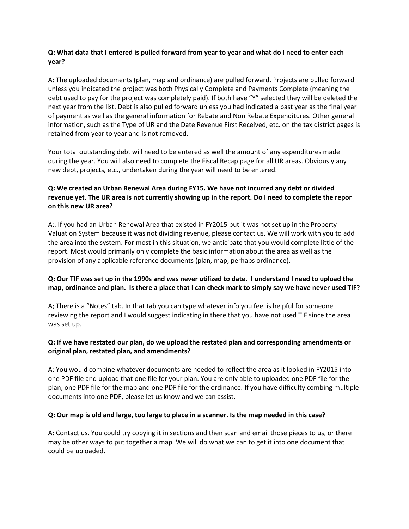## **Q: What data that I entered is pulled forward from year to year and what do I need to enter each year?**

A: The uploaded documents (plan, map and ordinance) are pulled forward. Projects are pulled forward unless you indicated the project was both Physically Complete and Payments Complete (meaning the debt used to pay for the project was completely paid). If both have "Y" selected they will be deleted the next year from the list. Debt is also pulled forward unless you had indicated a past year as the final year of payment as well as the general information for Rebate and Non Rebate Expenditures. Other general information, such as the Type of UR and the Date Revenue First Received, etc. on the tax district pages is retained from year to year and is not removed.

Your total outstanding debt will need to be entered as well the amount of any expenditures made during the year. You will also need to complete the Fiscal Recap page for all UR areas. Obviously any new debt, projects, etc., undertaken during the year will need to be entered.

# **Q: We created an Urban Renewal Area during FY15. We have not incurred any debt or divided revenue yet. The UR area is not currently showing up in the report. Do I need to complete the repor on this new UR area?**

A:. If you had an Urban Renewal Area that existed in FY2015 but it was not set up in the Property Valuation System because it was not dividing revenue, please contact us. We will work with you to add the area into the system. For most in this situation, we anticipate that you would complete little of the report. Most would primarily only complete the basic information about the area as well as the provision of any applicable reference documents (plan, map, perhaps ordinance).

## **Q: Our TIF was set up in the 1990s and was never utilized to date. I understand I need to upload the map, ordinance and plan. Is there a place that I can check mark to simply say we have never used TIF?**

A; There is a "Notes" tab. In that tab you can type whatever info you feel is helpful for someone reviewing the report and I would suggest indicating in there that you have not used TIF since the area was set up.

### **Q: If we have restated our plan, do we upload the restated plan and corresponding amendments or original plan, restated plan, and amendments?**

A: You would combine whatever documents are needed to reflect the area as it looked in FY2015 into one PDF file and upload that one file for your plan. You are only able to uploaded one PDF file for the plan, one PDF file for the map and one PDF file for the ordinance. If you have difficulty combing multiple documents into one PDF, please let us know and we can assist.

### **Q: Our map is old and large, too large to place in a scanner. Is the map needed in this case?**

A: Contact us. You could try copying it in sections and then scan and email those pieces to us, or there may be other ways to put together a map. We will do what we can to get it into one document that could be uploaded.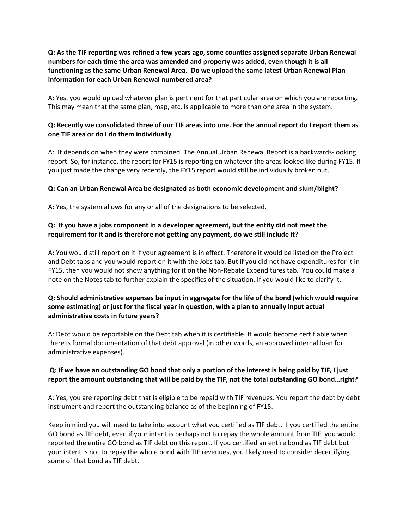## **Q: As the TIF reporting was refined a few years ago, some counties assigned separate Urban Renewal numbers for each time the area was amended and property was added, even though it is all functioning as the same Urban Renewal Area. Do we upload the same latest Urban Renewal Plan information for each Urban Renewal numbered area?**

A: Yes, you would upload whatever plan is pertinent for that particular area on which you are reporting. This may mean that the same plan, map, etc. is applicable to more than one area in the system.

## **Q: Recently we consolidated three of our TIF areas into one. For the annual report do I report them as one TIF area or do I do them individually**

A: It depends on when they were combined. The Annual Urban Renewal Report is a backwards-looking report. So, for instance, the report for FY15 is reporting on whatever the areas looked like during FY15. If you just made the change very recently, the FY15 report would still be individually broken out.

### **Q: Can an Urban Renewal Area be designated as both economic development and slum/blight?**

A: Yes, the system allows for any or all of the designations to be selected.

# **Q: If you have a jobs component in a developer agreement, but the entity did not meet the requirement for it and is therefore not getting any payment, do we still include it?**

A: You would still report on it if your agreement is in effect. Therefore it would be listed on the Project and Debt tabs and you would report on it with the Jobs tab. But if you did not have expenditures for it in FY15, then you would not show anything for it on the Non-Rebate Expenditures tab. You could make a note on the Notes tab to further explain the specifics of the situation, if you would like to clarify it.

## **Q: Should administrative expenses be input in aggregate for the life of the bond (which would require some estimating) or just for the fiscal year in question, with a plan to annually input actual administrative costs in future years?**

A: Debt would be reportable on the Debt tab when it is certifiable. It would become certifiable when there is formal documentation of that debt approval (in other words, an approved internal loan for administrative expenses).

### **Q: If we have an outstanding GO bond that only a portion of the interest is being paid by TIF, I just report the amount outstanding that will be paid by the TIF, not the total outstanding GO bond…right?**

A: Yes, you are reporting debt that is eligible to be repaid with TIF revenues. You report the debt by debt instrument and report the outstanding balance as of the beginning of FY15.

Keep in mind you will need to take into account what you certified as TIF debt. If you certified the entire GO bond as TIF debt, even if your intent is perhaps not to repay the whole amount from TIF, you would reported the entire GO bond as TIF debt on this report. If you certified an entire bond as TIF debt but your intent is not to repay the whole bond with TIF revenues, you likely need to consider decertifying some of that bond as TIF debt.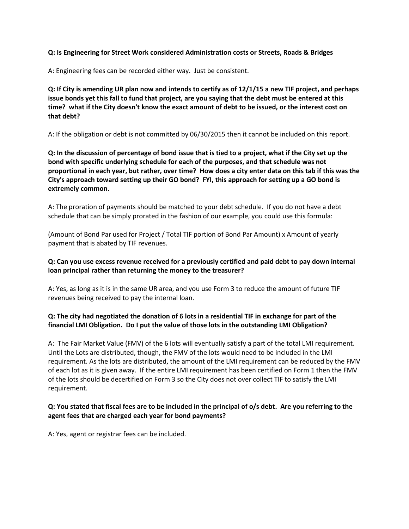### **Q: Is Engineering for Street Work considered Administration costs or Streets, Roads & Bridges**

A: Engineering fees can be recorded either way. Just be consistent.

**Q: If City is amending UR plan now and intends to certify as of 12/1/15 a new TIF project, and perhaps issue bonds yet this fall to fund that project, are you saying that the debt must be entered at this time? what if the City doesn't know the exact amount of debt to be issued, or the interest cost on that debt?**

A: If the obligation or debt is not committed by 06/30/2015 then it cannot be included on this report.

**Q: In the discussion of percentage of bond issue that is tied to a project, what if the City set up the bond with specific underlying schedule for each of the purposes, and that schedule was not proportional in each year, but rather, over time? How does a city enter data on this tab if this was the City's approach toward setting up their GO bond? FYI, this approach for setting up a GO bond is extremely common.**

A: The proration of payments should be matched to your debt schedule. If you do not have a debt schedule that can be simply prorated in the fashion of our example, you could use this formula:

(Amount of Bond Par used for Project / Total TIF portion of Bond Par Amount) x Amount of yearly payment that is abated by TIF revenues.

### **Q: Can you use excess revenue received for a previously certified and paid debt to pay down internal loan principal rather than returning the money to the treasurer?**

A: Yes, as long as it is in the same UR area, and you use Form 3 to reduce the amount of future TIF revenues being received to pay the internal loan.

### **Q: The city had negotiated the donation of 6 lots in a residential TIF in exchange for part of the financial LMI Obligation. Do I put the value of those lots in the outstanding LMI Obligation?**

A: The Fair Market Value (FMV) of the 6 lots will eventually satisfy a part of the total LMI requirement. Until the Lots are distributed, though, the FMV of the lots would need to be included in the LMI requirement. As the lots are distributed, the amount of the LMI requirement can be reduced by the FMV of each lot as it is given away. If the entire LMI requirement has been certified on Form 1 then the FMV of the lots should be decertified on Form 3 so the City does not over collect TIF to satisfy the LMI requirement.

### **Q: You stated that fiscal fees are to be included in the principal of o/s debt. Are you referring to the agent fees that are charged each year for bond payments?**

A: Yes, agent or registrar fees can be included.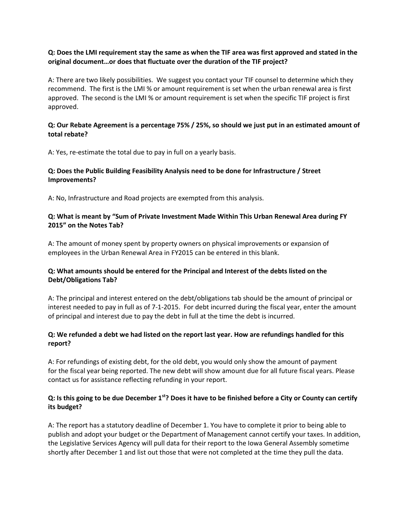### **Q: Does the LMI requirement stay the same as when the TIF area was first approved and stated in the original document…or does that fluctuate over the duration of the TIF project?**

A: There are two likely possibilities. We suggest you contact your TIF counsel to determine which they recommend. The first is the LMI % or amount requirement is set when the urban renewal area is first approved. The second is the LMI % or amount requirement is set when the specific TIF project is first approved.

### **Q: Our Rebate Agreement is a percentage 75% / 25%, so should we just put in an estimated amount of total rebate?**

A: Yes, re-estimate the total due to pay in full on a yearly basis.

## **Q: Does the Public Building Feasibility Analysis need to be done for Infrastructure / Street Improvements?**

A: No, Infrastructure and Road projects are exempted from this analysis.

### **Q: What is meant by "Sum of Private Investment Made Within This Urban Renewal Area during FY 2015" on the Notes Tab?**

A: The amount of money spent by property owners on physical improvements or expansion of employees in the Urban Renewal Area in FY2015 can be entered in this blank.

### **Q: What amounts should be entered for the Principal and Interest of the debts listed on the Debt/Obligations Tab?**

A: The principal and interest entered on the debt/obligations tab should be the amount of principal or interest needed to pay in full as of 7-1-2015. For debt incurred during the fiscal year, enter the amount of principal and interest due to pay the debt in full at the time the debt is incurred.

### **Q: We refunded a debt we had listed on the report last year. How are refundings handled for this report?**

A: For refundings of existing debt, for the old debt, you would only show the amount of payment for the fiscal year being reported. The new debt will show amount due for all future fiscal years. Please contact us for assistance reflecting refunding in your report.

### **Q: Is this going to be due December 1st? Does it have to be finished before a City or County can certify its budget?**

A: The report has a statutory deadline of December 1. You have to complete it prior to being able to publish and adopt your budget or the Department of Management cannot certify your taxes. In addition, the Legislative Services Agency will pull data for their report to the Iowa General Assembly sometime shortly after December 1 and list out those that were not completed at the time they pull the data.